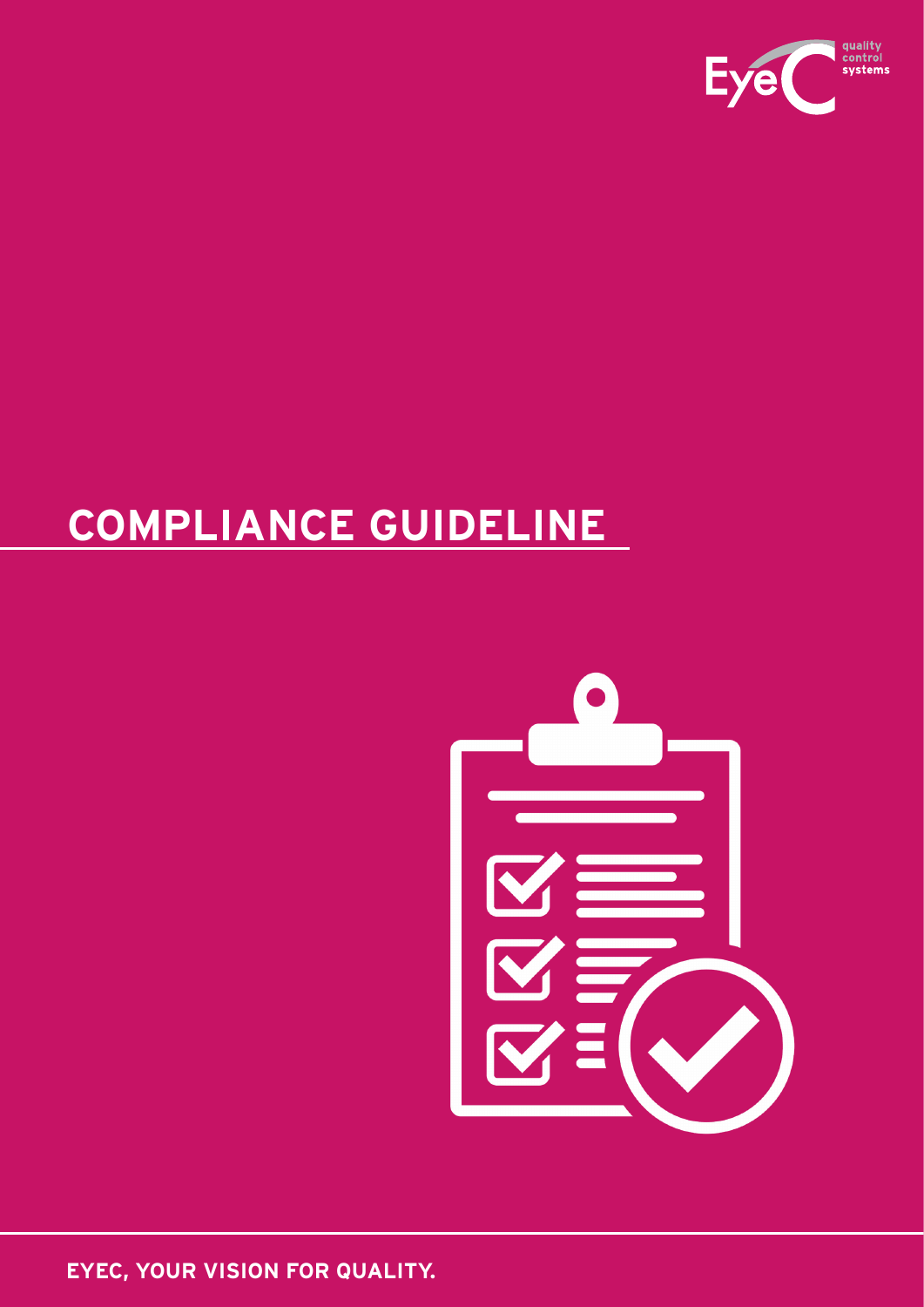

# **COMPLIANCE GUIDELINE**



**EYEC, YOUR VISION FOR QUALITY.**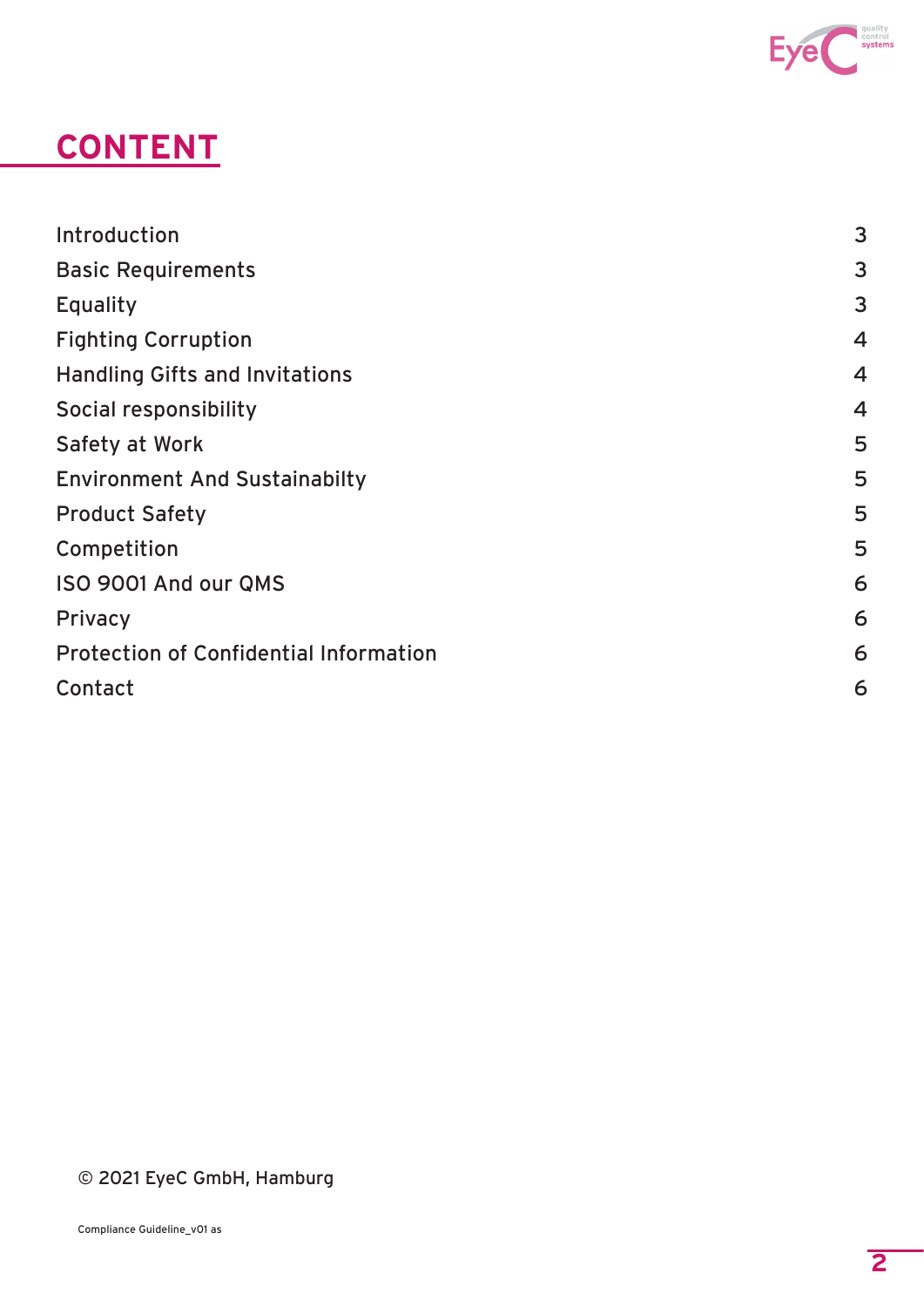

# **CONTENT**

| Introduction                                  | $\mathbf{3}$   |
|-----------------------------------------------|----------------|
| <b>Basic Requirements</b>                     | $\mathbf{3}$   |
| Equality                                      | $\mathbf{3}$   |
| <b>Fighting Corruption</b>                    | $\overline{4}$ |
| <b>Handling Gifts and Invitations</b>         | $\overline{4}$ |
| Social responsibility                         | $\overline{4}$ |
| Safety at Work                                | 5              |
| <b>Environment And Sustainabilty</b>          | 5              |
| <b>Product Safety</b>                         | 5              |
| Competition                                   | 5              |
| ISO 9001 And our QMS                          | 6              |
| Privacy                                       | 6              |
| <b>Protection of Confidential Information</b> | 6              |
| Contact                                       | 6              |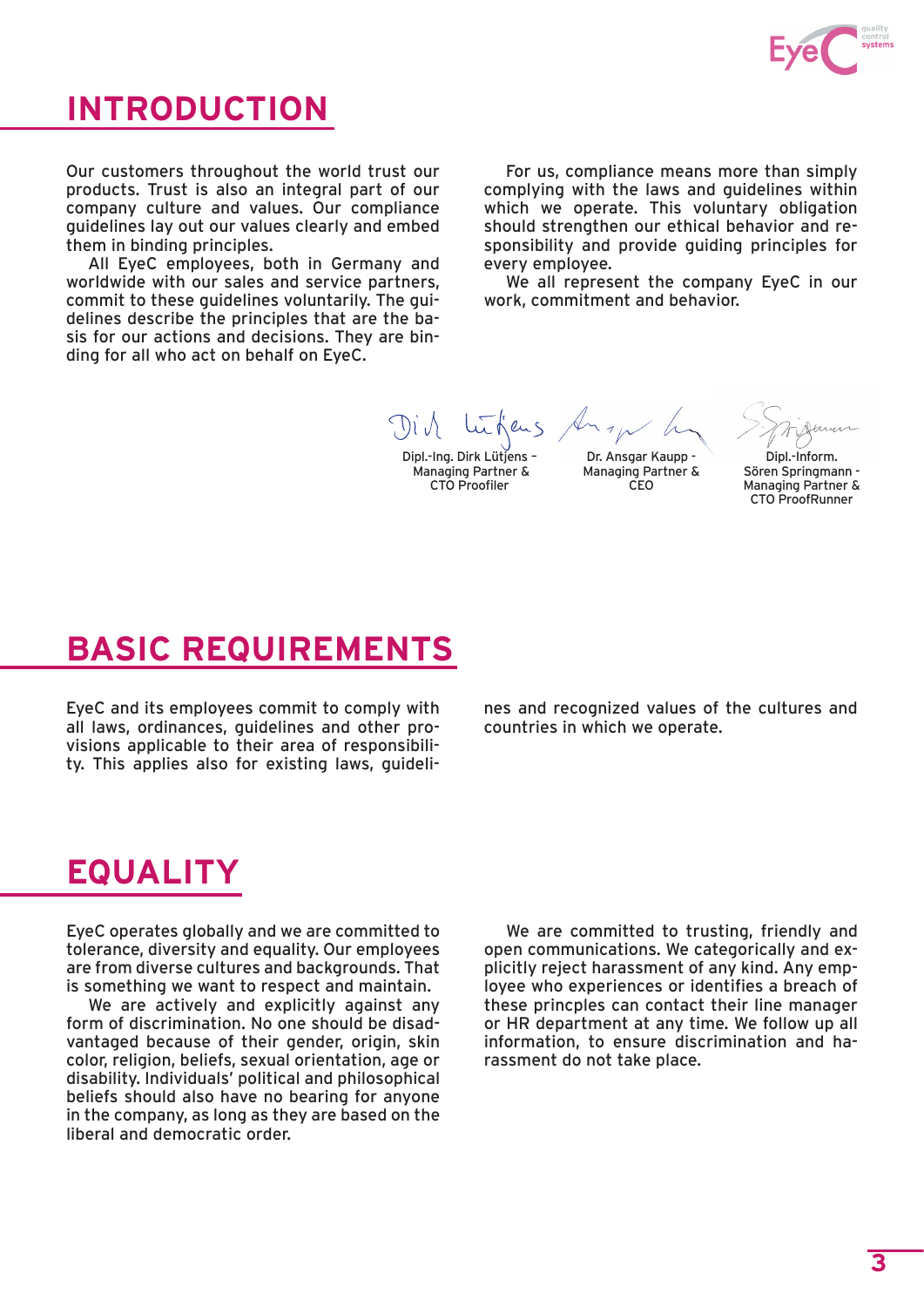

#### <span id="page-2-0"></span>**INTRODUCTION**

Our customers throughout the world trust our products. Trust is also an integral part of our company culture and values. Our compliance guidelines lay out our values clearly and embed them in binding principles.

All EyeC employees, both in Germany and worldwide with our sales and service partners, commit to these guidelines voluntarily. The guidelines describe the principles that are the basis for our actions and decisions. They are binding for all who act on behalf on EyeC.

For us, compliance means more than simply complying with the laws and guidelines within which we operate. This voluntary obligation should strengthen our ethical behavior and responsibility and provide guiding principles for every employee.

We all represent the company EyeC in our work, commitment and behavior.

eus

Dipl.-Ing. Dirk Lütjens – Managing Partner & CTO Proofiler

Dr. Ansgar Kaupp - Managing Partner & CEO



#### Dipl.-Inform. Sören Springmann - Managing Partner & CTO ProofRunner

#### **BASIC REQUIREMENTS**

EyeC and its employees commit to comply with all laws, ordinances, guidelines and other provisions applicable to their area of responsibility. This applies also for existing laws, guidelines and recognized values of the cultures and countries in which we operate.

#### **EQUALITY**

EyeC operates globally and we are committed to tolerance, diversity and equality. Our employees are from diverse cultures and backgrounds. That is something we want to respect and maintain.

We are actively and explicitly against any form of discrimination. No one should be disadvantaged because of their gender, origin, skin color, religion, beliefs, sexual orientation, age or disability. Individuals' political and philosophical beliefs should also have no bearing for anyone in the company, as long as they are based on the liberal and democratic order.

We are committed to trusting, friendly and open communications. We categorically and explicitly reject harassment of any kind. Any employee who experiences or identifies a breach of these princples can contact their line manager or HR department at any time. We follow up all information, to ensure discrimination and harassment do not take place.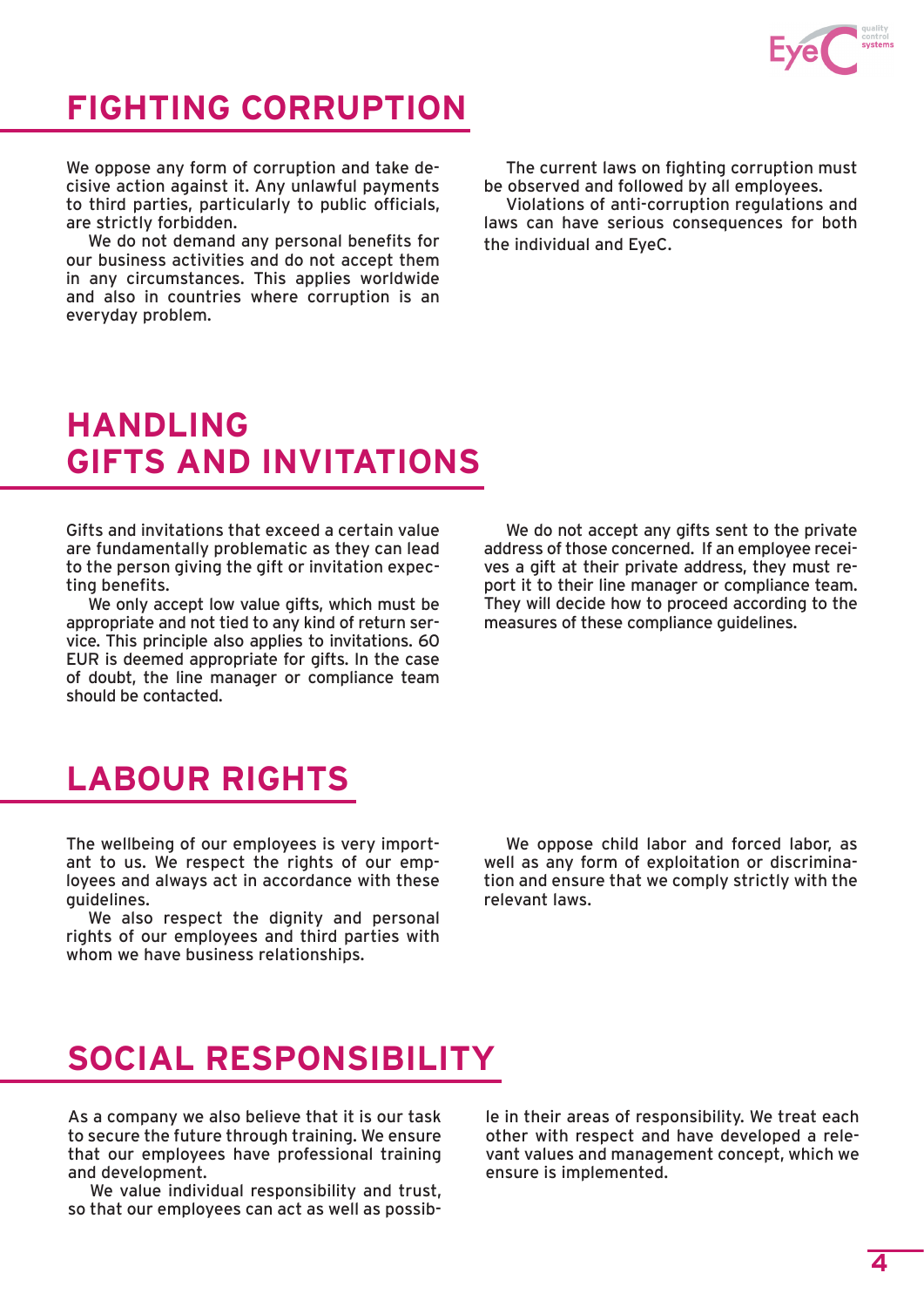

# <span id="page-3-0"></span>**FIGHTING CORRUPTION**

We oppose any form of corruption and take decisive action against it. Any unlawful payments to third parties, particularly to public officials, are strictly forbidden.

We do not demand any personal benefits for our business activities and do not accept them in any circumstances. This applies worldwide and also in countries where corruption is an everyday problem.

The current laws on fighting corruption must be observed and followed by all employees.

Violations of anti-corruption regulations and laws can have serious consequences for both the individual and EyeC.

# **HANDLING GIFTS AND INVITATIONS**

Gifts and invitations that exceed a certain value are fundamentally problematic as they can lead to the person giving the gift or invitation expecting benefits.

We only accept low value gifts, which must be appropriate and not tied to any kind of return service. This principle also applies to invitations. 60 EUR is deemed appropriate for gifts. In the case of doubt, the line manager or compliance team should be contacted.

We do not accept any gifts sent to the private address of those concerned. If an employee receives a gift at their private address, they must report it to their line manager or compliance team. They will decide how to proceed according to the measures of these compliance guidelines.

# **LABOUR RIGHTS**

The wellbeing of our employees is very important to us. We respect the rights of our employees and always act in accordance with these guidelines.

We also respect the dignity and personal rights of our employees and third parties with whom we have business relationships.

We oppose child labor and forced labor, as well as any form of exploitation or discrimination and ensure that we comply strictly with the relevant laws.

# **SOCIAL RESPONSIBILITY**

As a company we also believe that it is our task to secure the future through training. We ensure that our employees have professional training and development.

We value individual responsibility and trust, so that our employees can act as well as possible in their areas of responsibility. We treat each other with respect and have developed a relevant values and management concept, which we ensure is implemented.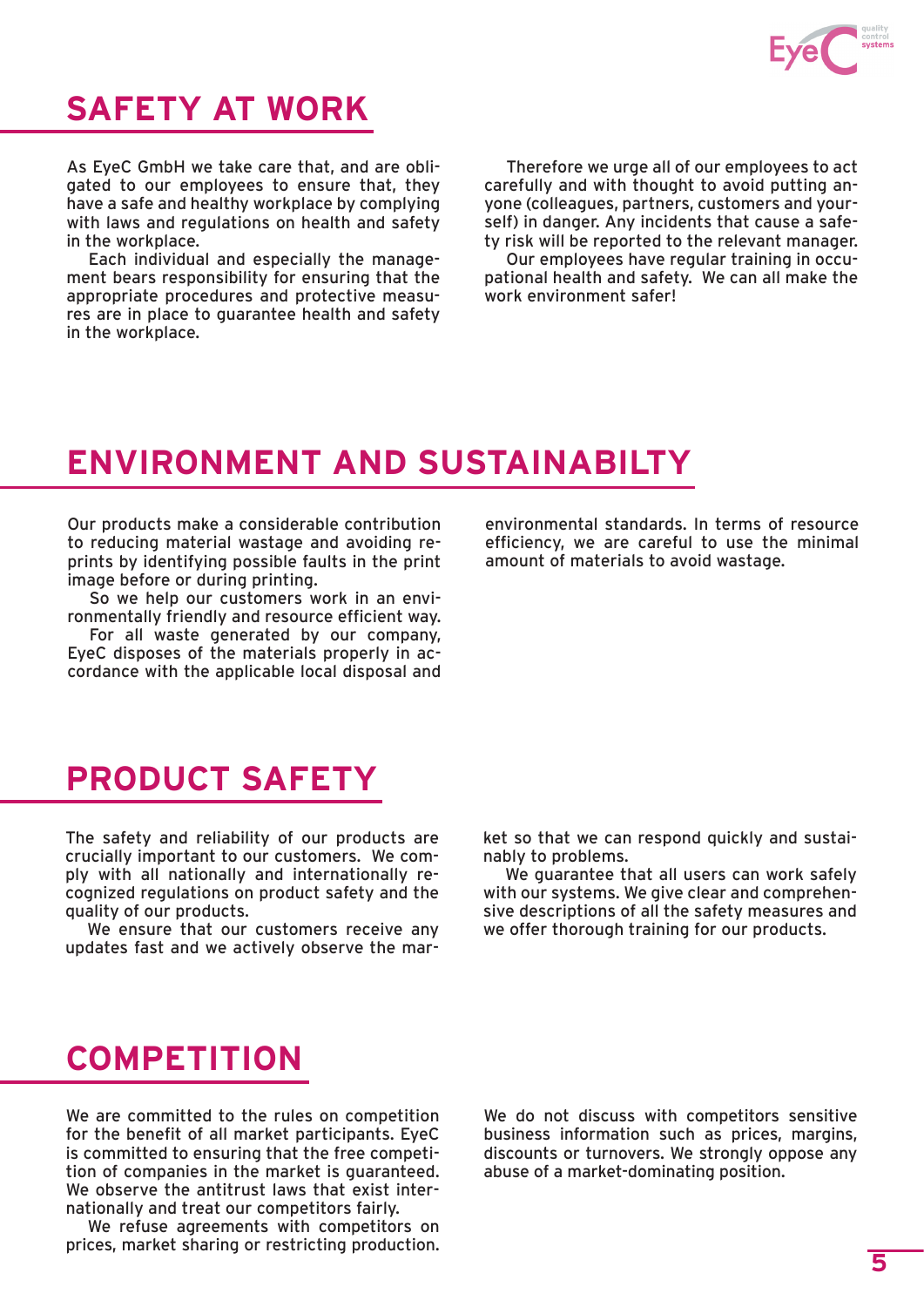

## <span id="page-4-0"></span>**SAFETY AT WORK**

As EyeC GmbH we take care that, and are obligated to our employees to ensure that, they have a safe and healthy workplace by complying with laws and regulations on health and safety in the workplace.

Each individual and especially the management bears responsibility for ensuring that the appropriate procedures and protective measures are in place to guarantee health and safety in the workplace.

Therefore we urge all of our employees to act carefully and with thought to avoid putting anyone (colleagues, partners, customers and yourself) in danger. Any incidents that cause a safety risk will be reported to the relevant manager.

Our employees have regular training in occupational health and safety. We can all make the work environment safer!

#### **ENVIRONMENT AND SUSTAINABILTY**

Our products make a considerable contribution to reducing material wastage and avoiding reprints by identifying possible faults in the print image before or during printing.

So we help our customers work in an environmentally friendly and resource efficient way.

For all waste generated by our company, EyeC disposes of the materials properly in accordance with the applicable local disposal and environmental standards. In terms of resource efficiency, we are careful to use the minimal amount of materials to avoid wastage.

#### **PRODUCT SAFETY**

The safety and reliability of our products are crucially important to our customers. We comply with all nationally and internationally recognized regulations on product safety and the quality of our products.

We ensure that our customers receive any updates fast and we actively observe the market so that we can respond quickly and sustainably to problems.

We guarantee that all users can work safely with our systems. We give clear and comprehensive descriptions of all the safety measures and we offer thorough training for our products.

#### **COMPETITION**

We are committed to the rules on competition for the benefit of all market participants. EyeC is committed to ensuring that the free competition of companies in the market is guaranteed. We observe the antitrust laws that exist internationally and treat our competitors fairly.

We refuse agreements with competitors on prices, market sharing or restricting production. We do not discuss with competitors sensitive business information such as prices, margins, discounts or turnovers. We strongly oppose any abuse of a market-dominating position.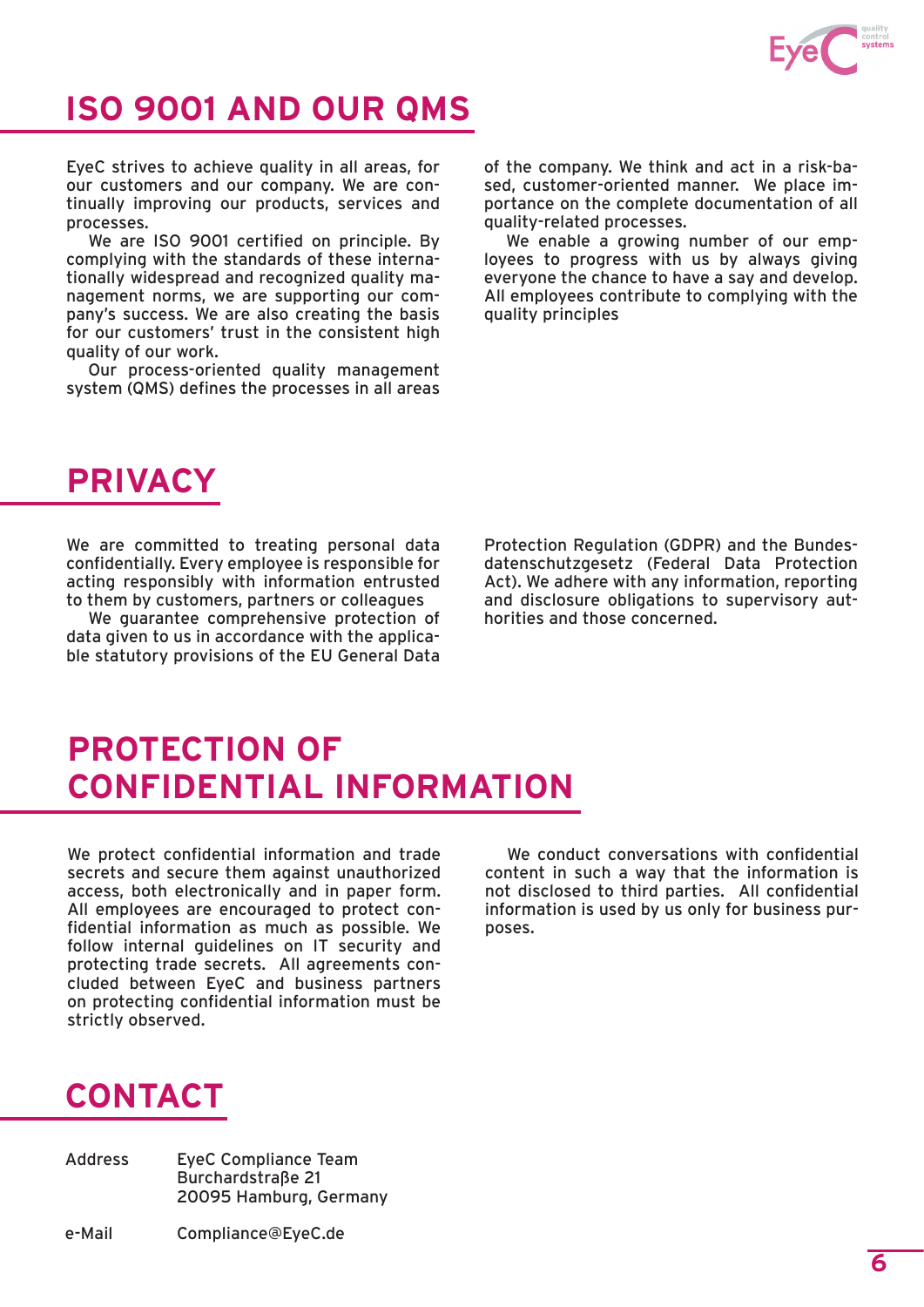

# <span id="page-5-0"></span>**ISO 9001 AND OUR QMS**

EyeC strives to achieve quality in all areas, for our customers and our company. We are continually improving our products, services and processes.

We are ISO 9001 certified on principle. By complying with the standards of these internationally widespread and recognized quality management norms, we are supporting our company's success. We are also creating the basis for our customers' trust in the consistent high quality of our work.

Our process-oriented quality management system (QMS) defines the processes in all areas of the company. We think and act in a risk-based, customer-oriented manner. We place importance on the complete documentation of all quality-related processes.

We enable a growing number of our employees to progress with us by always giving everyone the chance to have a say and develop. All employees contribute to complying with the quality principles

#### **PRIVACY**

We are committed to treating personal data confidentially. Every employee is responsible for acting responsibly with information entrusted to them by customers, partners or colleagues

We guarantee comprehensive protection of data given to us in accordance with the applicable statutory provisions of the EU General Data

Protection Regulation (GDPR) and the Bundesdatenschutzgesetz (Federal Data Protection Act). We adhere with any information, reporting and disclosure obligations to supervisory authorities and those concerned.

# **PROTECTION OF CONFIDENTIAL INFORMATION**

We protect confidential information and trade secrets and secure them against unauthorized access, both electronically and in paper form. All employees are encouraged to protect confidential information as much as possible. We follow internal guidelines on IT security and protecting trade secrets. All agreements concluded between EyeC and business partners on protecting confidential information must be strictly observed.

We conduct conversations with confidential content in such a way that the information is not disclosed to third parties. All confidential information is used by us only for business purposes.

#### **CONTACT**

Address EyeC Compliance Team Burchardstraße 21 20095 Hamburg, Germany

e-Mail Compliance@EyeC.de